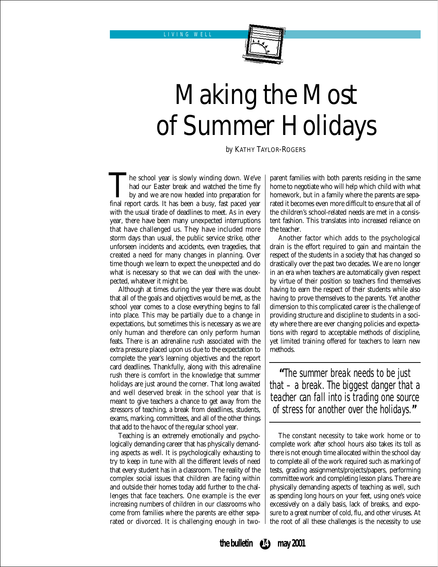

# Making the Most of Summer Holidays

*by* KATHY TAYLOR-ROGERS

The school year is slowly winding down. We've had our Easter break and watched the time fly by and we are now headed into preparation for final report cards. It has been a busy, fast paced year had our Easter break and watched the time fly by and we are now headed into preparation for with the usual tirade of deadlines to meet. As in every year, there have been many unexpected interruptions that have challenged us. They have included more storm days than usual, the public service strike, other unforseen incidents and accidents, even tragedies, that created a need for many changes in planning. Over time though we learn to expect the unexpected and do what is necessary so that we can deal with the unexpected, whatever it might be.

Although at times during the year there was doubt that all of the goals and objectives would be met, as the school year comes to a close everything begins to fall into place. This may be partially due to a change in expectations, but sometimes this is necessary as we are only human and therefore can only perform human feats. There is an adrenaline rush associated with the extra pressure placed upon us due to the expectation to complete the year's learning objectives and the report card deadlines. Thankfully, along with this adrenaline rush there is comfort in the knowledge that summer holidays are just around the corner. That long awaited and well deserved break in the school year that is meant to give teachers a chance to get away from the stressors of teaching, a break from deadlines, students, exams, marking, committees, and all of the other things that add to the havoc of the regular school year.

Teaching is an extremely emotionally and psychologically demanding career that has physically demanding aspects as well. It is psychologically exhausting to try to keep in tune with all the different levels of need that every student has in a classroom. The reality of the complex social issues that children are facing within and outside their homes today add further to the challenges that face teachers. One example is the ever increasing numbers of children in our classrooms who come from families where the parents are either separated or divorced. It is challenging enough in two-

parent families with both parents residing in the same home to negotiate who will help which child with what homework, but in a family where the parents are separated it becomes even more difficult to ensure that all of the children's school-related needs are met in a consistent fashion. This translates into increased reliance on the teacher.

Another factor which adds to the psychological drain is the effort required to gain and maintain the respect of the students in a society that has changed so drastically over the past two decades. We are no longer in an era when teachers are automatically given respect by virtue of their position so teachers find themselves having to earn the respect of their students while also having to prove themselves to the parents. Yet another dimension to this complicated career is the challenge of providing structure and discipline to students in a society where there are ever changing policies and expectations with regard to acceptable methods of discipline, yet limited training offered for teachers to learn new methods.

**"**The summer break needs to be just that – a break. The biggest danger that a teacher can fall into is trading one source of stress for another over the holidays.**"**

The constant necessity to take work home or to complete work after school hours also takes its toll as there is not enough time allocated within the school day to complete all of the work required such as marking of tests, grading assignments/projects/papers, performing committee work and completing lesson plans. There are physically demanding aspects of teaching as well, such as spending long hours on your feet, using one's voice excessively on a daily basis, lack of breaks, and exposure to a great number of cold, flu, and other viruses. At the root of all these challenges is the necessity to use